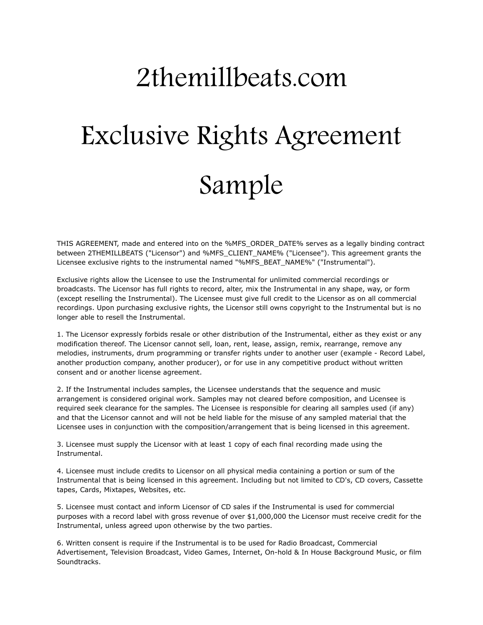## 2themillbeats.com Exclusive Rights Agreement Sample

THIS AGREEMENT, made and entered into on the %MFS\_ORDER\_DATE% serves as a legally binding contract between 2THEMILLBEATS ("Licensor") and %MFS\_CLIENT\_NAME% ("Licensee"). This agreement grants the Licensee exclusive rights to the instrumental named "%MFS\_BEAT\_NAME%" ("Instrumental").

Exclusive rights allow the Licensee to use the Instrumental for unlimited commercial recordings or broadcasts. The Licensor has full rights to record, alter, mix the Instrumental in any shape, way, or form (except reselling the Instrumental). The Licensee must give full credit to the Licensor as on all commercial recordings. Upon purchasing exclusive rights, the Licensor still owns copyright to the Instrumental but is no longer able to resell the Instrumental.

1. The Licensor expressly forbids resale or other distribution of the Instrumental, either as they exist or any modification thereof. The Licensor cannot sell, loan, rent, lease, assign, remix, rearrange, remove any melodies, instruments, drum programming or transfer rights under to another user (example - Record Label, another production company, another producer), or for use in any competitive product without written consent and or another license agreement.

2. If the Instrumental includes samples, the Licensee understands that the sequence and music arrangement is considered original work. Samples may not cleared before composition, and Licensee is required seek clearance for the samples. The Licensee is responsible for clearing all samples used (if any) and that the Licensor cannot and will not be held liable for the misuse of any sampled material that the Licensee uses in conjunction with the composition/arrangement that is being licensed in this agreement.

3. Licensee must supply the Licensor with at least 1 copy of each final recording made using the Instrumental.

4. Licensee must include credits to Licensor on all physical media containing a portion or sum of the Instrumental that is being licensed in this agreement. Including but not limited to CD's, CD covers, Cassette tapes, Cards, Mixtapes, Websites, etc.

5. Licensee must contact and inform Licensor of CD sales if the Instrumental is used for commercial purposes with a record label with gross revenue of over \$1,000,000 the Licensor must receive credit for the Instrumental, unless agreed upon otherwise by the two parties.

6. Written consent is require if the Instrumental is to be used for Radio Broadcast, Commercial Advertisement, Television Broadcast, Video Games, Internet, On-hold & In House Background Music, or film Soundtracks.